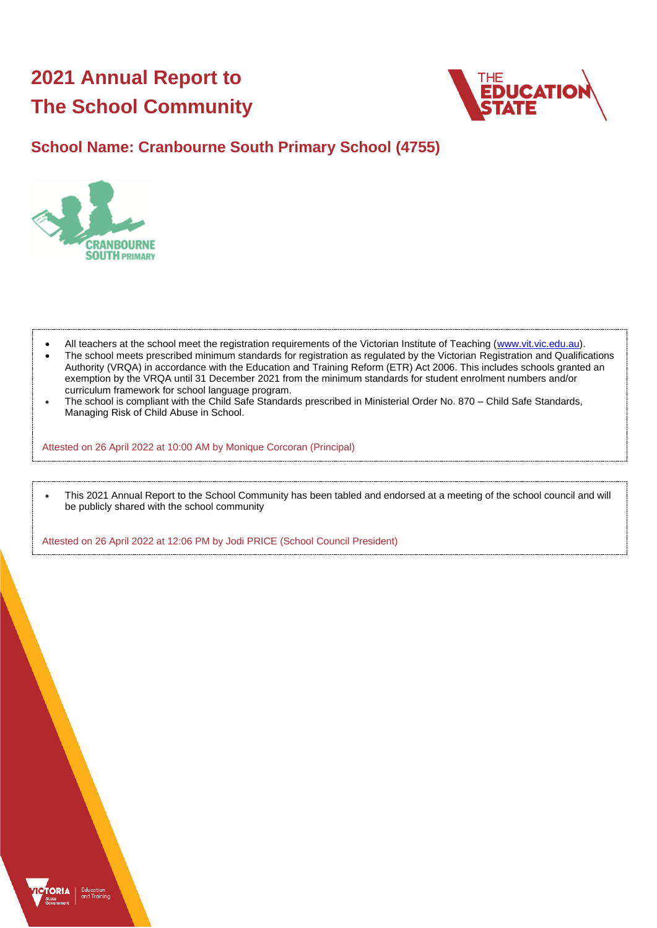# **2021 Annual Report to The School Community**



# **School Name: Cranbourne South Primary School (4755)**



- All teachers at the school meet the registration requirements of the Victorian Institute of Teaching [\(www.vit.vic.edu.au\)](https://www.vit.vic.edu.au/).
- The school meets prescribed minimum standards for registration as regulated by the Victorian Registration and Qualifications Authority (VRQA) in accordance with the Education and Training Reform (ETR) Act 2006. This includes schools granted an exemption by the VRQA until 31 December 2021 from the minimum standards for student enrolment numbers and/or curriculum framework for school language program.
- The school is compliant with the Child Safe Standards prescribed in Ministerial Order No. 870 Child Safe Standards, Managing Risk of Child Abuse in School.

Attested on 26 April 2022 at 10:00 AM by Monique Corcoran (Principal)

• This 2021 Annual Report to the School Community has been tabled and endorsed at a meeting of the school council and will be publicly shared with the school community

Attested on 26 April 2022 at 12:06 PM by Jodi PRICE (School Council President)

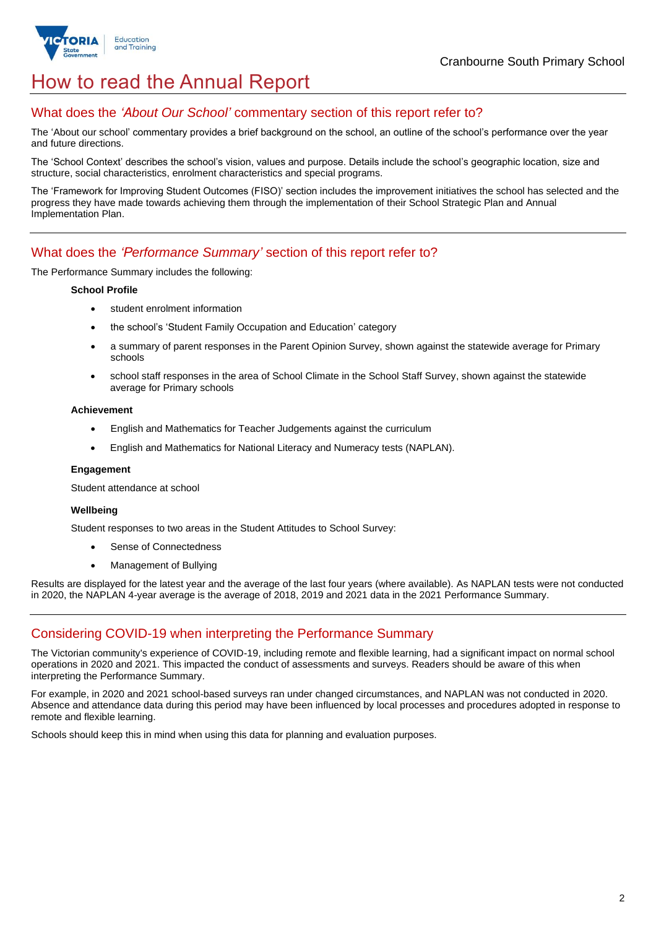

# How to read the Annual Report

## What does the *'About Our School'* commentary section of this report refer to?

The 'About our school' commentary provides a brief background on the school, an outline of the school's performance over the year and future directions.

The 'School Context' describes the school's vision, values and purpose. Details include the school's geographic location, size and structure, social characteristics, enrolment characteristics and special programs.

The 'Framework for Improving Student Outcomes (FISO)' section includes the improvement initiatives the school has selected and the progress they have made towards achieving them through the implementation of their School Strategic Plan and Annual Implementation Plan.

### What does the *'Performance Summary'* section of this report refer to?

The Performance Summary includes the following:

#### **School Profile**

- student enrolment information
- the school's 'Student Family Occupation and Education' category
- a summary of parent responses in the Parent Opinion Survey, shown against the statewide average for Primary schools
- school staff responses in the area of School Climate in the School Staff Survey, shown against the statewide average for Primary schools

#### **Achievement**

- English and Mathematics for Teacher Judgements against the curriculum
- English and Mathematics for National Literacy and Numeracy tests (NAPLAN).

### **Engagement**

Student attendance at school

### **Wellbeing**

Student responses to two areas in the Student Attitudes to School Survey:

- Sense of Connectedness
- Management of Bullying

Results are displayed for the latest year and the average of the last four years (where available). As NAPLAN tests were not conducted in 2020, the NAPLAN 4-year average is the average of 2018, 2019 and 2021 data in the 2021 Performance Summary.

# Considering COVID-19 when interpreting the Performance Summary

The Victorian community's experience of COVID-19, including remote and flexible learning, had a significant impact on normal school operations in 2020 and 2021. This impacted the conduct of assessments and surveys. Readers should be aware of this when interpreting the Performance Summary.

For example, in 2020 and 2021 school-based surveys ran under changed circumstances, and NAPLAN was not conducted in 2020. Absence and attendance data during this period may have been influenced by local processes and procedures adopted in response to remote and flexible learning.

Schools should keep this in mind when using this data for planning and evaluation purposes.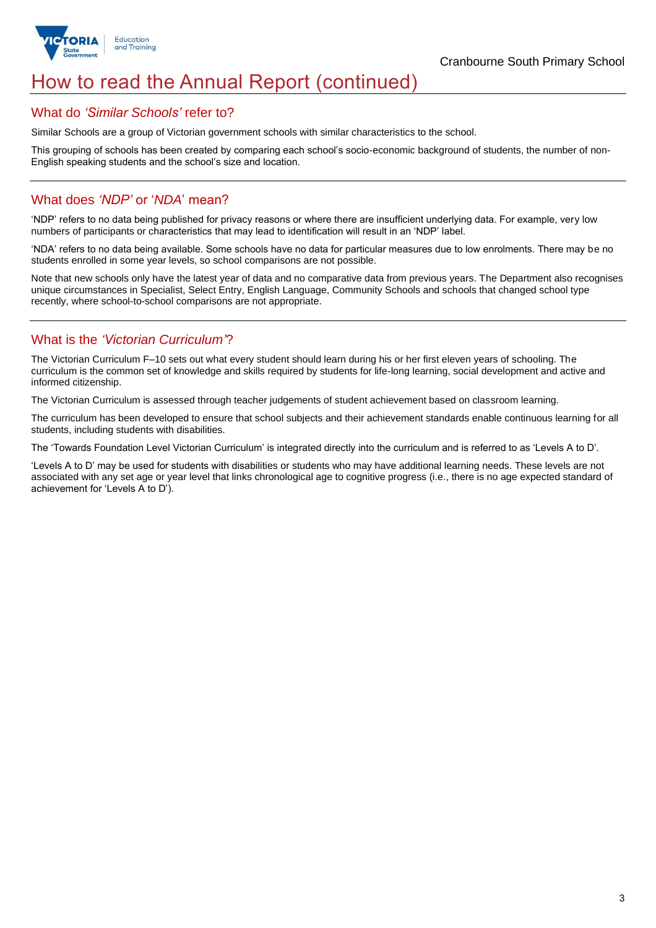

# How to read the Annual Report (continued)

### What do *'Similar Schools'* refer to?

Similar Schools are a group of Victorian government schools with similar characteristics to the school.

This grouping of schools has been created by comparing each school's socio-economic background of students, the number of non-English speaking students and the school's size and location.

## What does *'NDP'* or '*NDA*' mean?

'NDP' refers to no data being published for privacy reasons or where there are insufficient underlying data. For example, very low numbers of participants or characteristics that may lead to identification will result in an 'NDP' label.

'NDA' refers to no data being available. Some schools have no data for particular measures due to low enrolments. There may be no students enrolled in some year levels, so school comparisons are not possible.

Note that new schools only have the latest year of data and no comparative data from previous years. The Department also recognises unique circumstances in Specialist, Select Entry, English Language, Community Schools and schools that changed school type recently, where school-to-school comparisons are not appropriate.

# What is the *'Victorian Curriculum'*?

The Victorian Curriculum F–10 sets out what every student should learn during his or her first eleven years of schooling. The curriculum is the common set of knowledge and skills required by students for life-long learning, social development and active and informed citizenship.

The Victorian Curriculum is assessed through teacher judgements of student achievement based on classroom learning.

The curriculum has been developed to ensure that school subjects and their achievement standards enable continuous learning for all students, including students with disabilities.

The 'Towards Foundation Level Victorian Curriculum' is integrated directly into the curriculum and is referred to as 'Levels A to D'.

'Levels A to D' may be used for students with disabilities or students who may have additional learning needs. These levels are not associated with any set age or year level that links chronological age to cognitive progress (i.e., there is no age expected standard of achievement for 'Levels A to D').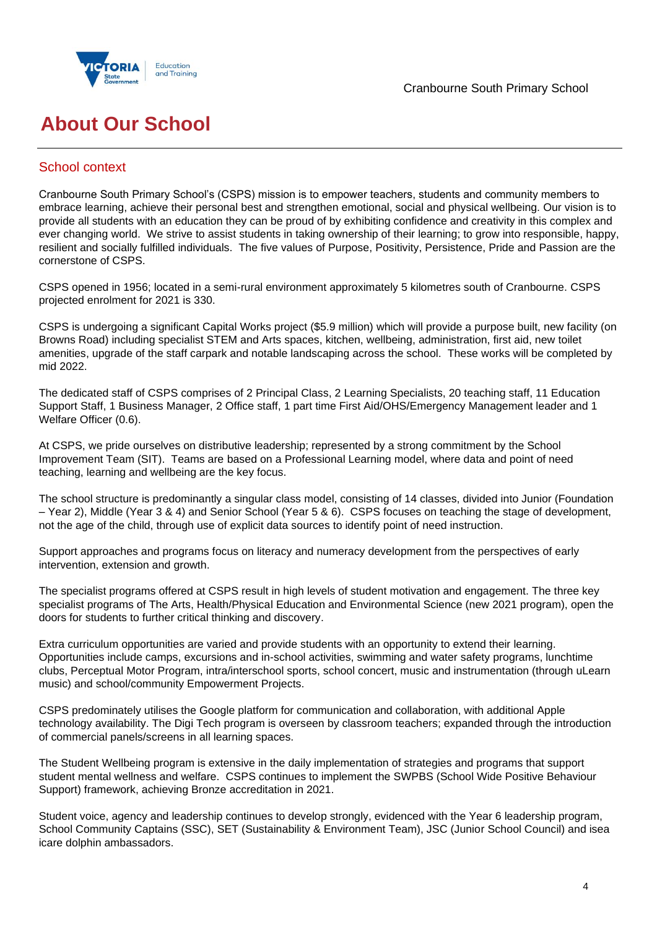



# **About Our School**

# School context

Cranbourne South Primary School's (CSPS) mission is to empower teachers, students and community members to embrace learning, achieve their personal best and strengthen emotional, social and physical wellbeing. Our vision is to provide all students with an education they can be proud of by exhibiting confidence and creativity in this complex and ever changing world. We strive to assist students in taking ownership of their learning; to grow into responsible, happy, resilient and socially fulfilled individuals. The five values of Purpose, Positivity, Persistence, Pride and Passion are the cornerstone of CSPS.

CSPS opened in 1956; located in a semi-rural environment approximately 5 kilometres south of Cranbourne. CSPS projected enrolment for 2021 is 330.

CSPS is undergoing a significant Capital Works project (\$5.9 million) which will provide a purpose built, new facility (on Browns Road) including specialist STEM and Arts spaces, kitchen, wellbeing, administration, first aid, new toilet amenities, upgrade of the staff carpark and notable landscaping across the school. These works will be completed by mid 2022.

The dedicated staff of CSPS comprises of 2 Principal Class, 2 Learning Specialists, 20 teaching staff, 11 Education Support Staff, 1 Business Manager, 2 Office staff, 1 part time First Aid/OHS/Emergency Management leader and 1 Welfare Officer (0.6).

At CSPS, we pride ourselves on distributive leadership; represented by a strong commitment by the School Improvement Team (SIT). Teams are based on a Professional Learning model, where data and point of need teaching, learning and wellbeing are the key focus.

The school structure is predominantly a singular class model, consisting of 14 classes, divided into Junior (Foundation – Year 2), Middle (Year 3 & 4) and Senior School (Year 5 & 6). CSPS focuses on teaching the stage of development, not the age of the child, through use of explicit data sources to identify point of need instruction.

Support approaches and programs focus on literacy and numeracy development from the perspectives of early intervention, extension and growth.

The specialist programs offered at CSPS result in high levels of student motivation and engagement. The three key specialist programs of The Arts, Health/Physical Education and Environmental Science (new 2021 program), open the doors for students to further critical thinking and discovery.

Extra curriculum opportunities are varied and provide students with an opportunity to extend their learning. Opportunities include camps, excursions and in-school activities, swimming and water safety programs, lunchtime clubs, Perceptual Motor Program, intra/interschool sports, school concert, music and instrumentation (through uLearn music) and school/community Empowerment Projects.

CSPS predominately utilises the Google platform for communication and collaboration, with additional Apple technology availability. The Digi Tech program is overseen by classroom teachers; expanded through the introduction of commercial panels/screens in all learning spaces.

The Student Wellbeing program is extensive in the daily implementation of strategies and programs that support student mental wellness and welfare. CSPS continues to implement the SWPBS (School Wide Positive Behaviour Support) framework, achieving Bronze accreditation in 2021.

Student voice, agency and leadership continues to develop strongly, evidenced with the Year 6 leadership program, School Community Captains (SSC), SET (Sustainability & Environment Team), JSC (Junior School Council) and isea icare dolphin ambassadors.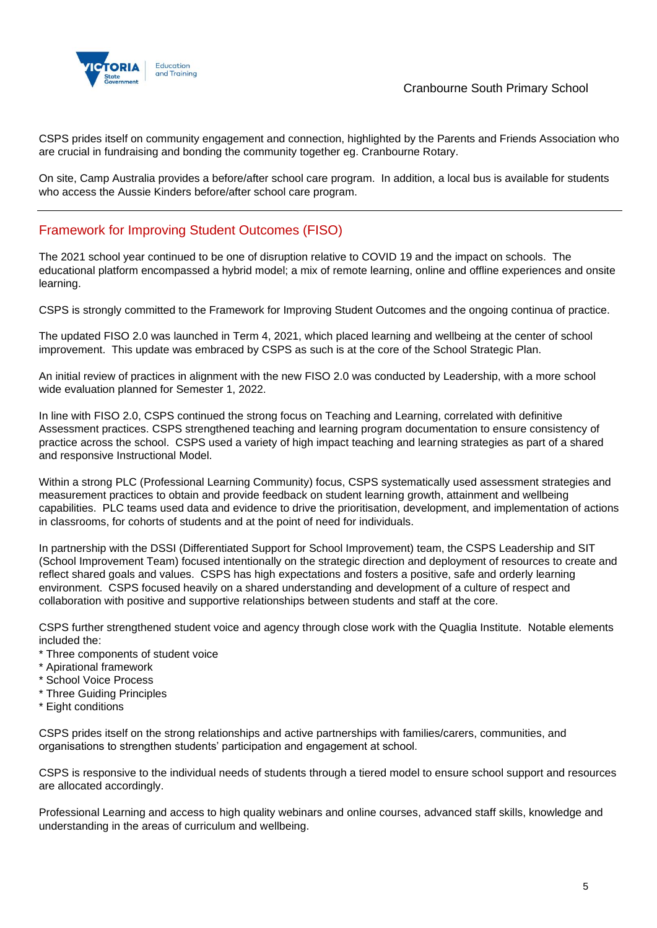

CSPS prides itself on community engagement and connection, highlighted by the Parents and Friends Association who are crucial in fundraising and bonding the community together eg. Cranbourne Rotary.

On site, Camp Australia provides a before/after school care program. In addition, a local bus is available for students who access the Aussie Kinders before/after school care program.

# Framework for Improving Student Outcomes (FISO)

The 2021 school year continued to be one of disruption relative to COVID 19 and the impact on schools. The educational platform encompassed a hybrid model; a mix of remote learning, online and offline experiences and onsite learning.

CSPS is strongly committed to the Framework for Improving Student Outcomes and the ongoing continua of practice.

The updated FISO 2.0 was launched in Term 4, 2021, which placed learning and wellbeing at the center of school improvement. This update was embraced by CSPS as such is at the core of the School Strategic Plan.

An initial review of practices in alignment with the new FISO 2.0 was conducted by Leadership, with a more school wide evaluation planned for Semester 1, 2022.

In line with FISO 2.0, CSPS continued the strong focus on Teaching and Learning, correlated with definitive Assessment practices. CSPS strengthened teaching and learning program documentation to ensure consistency of practice across the school. CSPS used a variety of high impact teaching and learning strategies as part of a shared and responsive Instructional Model.

Within a strong PLC (Professional Learning Community) focus, CSPS systematically used assessment strategies and measurement practices to obtain and provide feedback on student learning growth, attainment and wellbeing capabilities. PLC teams used data and evidence to drive the prioritisation, development, and implementation of actions in classrooms, for cohorts of students and at the point of need for individuals.

In partnership with the DSSI (Differentiated Support for School Improvement) team, the CSPS Leadership and SIT (School Improvement Team) focused intentionally on the strategic direction and deployment of resources to create and reflect shared goals and values. CSPS has high expectations and fosters a positive, safe and orderly learning environment. CSPS focused heavily on a shared understanding and development of a culture of respect and collaboration with positive and supportive relationships between students and staff at the core.

CSPS further strengthened student voice and agency through close work with the Quaglia Institute. Notable elements included the:

- \* Three components of student voice
- \* Apirational framework
- \* School Voice Process
- \* Three Guiding Principles
- \* Eight conditions

CSPS prides itself on the strong relationships and active partnerships with families/carers, communities, and organisations to strengthen students' participation and engagement at school.

CSPS is responsive to the individual needs of students through a tiered model to ensure school support and resources are allocated accordingly.

Professional Learning and access to high quality webinars and online courses, advanced staff skills, knowledge and understanding in the areas of curriculum and wellbeing.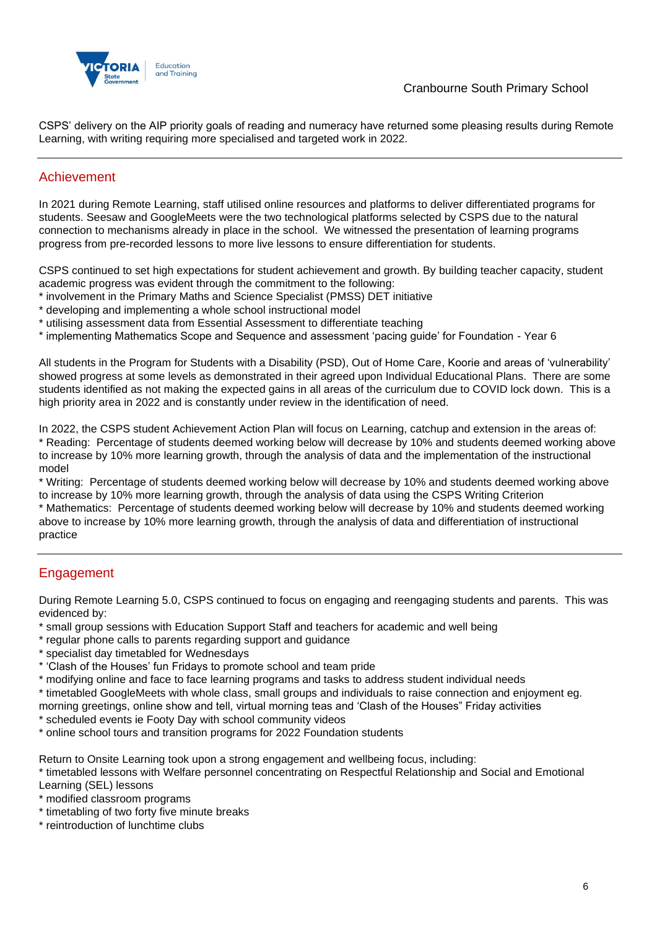

CSPS' delivery on the AIP priority goals of reading and numeracy have returned some pleasing results during Remote Learning, with writing requiring more specialised and targeted work in 2022.

## Achievement

In 2021 during Remote Learning, staff utilised online resources and platforms to deliver differentiated programs for students. Seesaw and GoogleMeets were the two technological platforms selected by CSPS due to the natural connection to mechanisms already in place in the school. We witnessed the presentation of learning programs progress from pre-recorded lessons to more live lessons to ensure differentiation for students.

CSPS continued to set high expectations for student achievement and growth. By building teacher capacity, student academic progress was evident through the commitment to the following:

- \* involvement in the Primary Maths and Science Specialist (PMSS) DET initiative
- \* developing and implementing a whole school instructional model
- \* utilising assessment data from Essential Assessment to differentiate teaching
- \* implementing Mathematics Scope and Sequence and assessment 'pacing guide' for Foundation Year 6

All students in the Program for Students with a Disability (PSD), Out of Home Care, Koorie and areas of 'vulnerability' showed progress at some levels as demonstrated in their agreed upon Individual Educational Plans. There are some students identified as not making the expected gains in all areas of the curriculum due to COVID lock down. This is a high priority area in 2022 and is constantly under review in the identification of need.

In 2022, the CSPS student Achievement Action Plan will focus on Learning, catchup and extension in the areas of: \* Reading: Percentage of students deemed working below will decrease by 10% and students deemed working above to increase by 10% more learning growth, through the analysis of data and the implementation of the instructional model

\* Writing: Percentage of students deemed working below will decrease by 10% and students deemed working above to increase by 10% more learning growth, through the analysis of data using the CSPS Writing Criterion

\* Mathematics: Percentage of students deemed working below will decrease by 10% and students deemed working above to increase by 10% more learning growth, through the analysis of data and differentiation of instructional practice

# **Engagement**

During Remote Learning 5.0, CSPS continued to focus on engaging and reengaging students and parents. This was evidenced by:

- \* small group sessions with Education Support Staff and teachers for academic and well being
- \* regular phone calls to parents regarding support and guidance
- \* specialist day timetabled for Wednesdays
- \* 'Clash of the Houses' fun Fridays to promote school and team pride
- \* modifying online and face to face learning programs and tasks to address student individual needs

\* timetabled GoogleMeets with whole class, small groups and individuals to raise connection and enjoyment eg. morning greetings, online show and tell, virtual morning teas and 'Clash of the Houses" Friday activities

\* scheduled events ie Footy Day with school community videos

\* online school tours and transition programs for 2022 Foundation students

Return to Onsite Learning took upon a strong engagement and wellbeing focus, including:

\* timetabled lessons with Welfare personnel concentrating on Respectful Relationship and Social and Emotional Learning (SEL) lessons

- \* modified classroom programs
- \* timetabling of two forty five minute breaks
- \* reintroduction of lunchtime clubs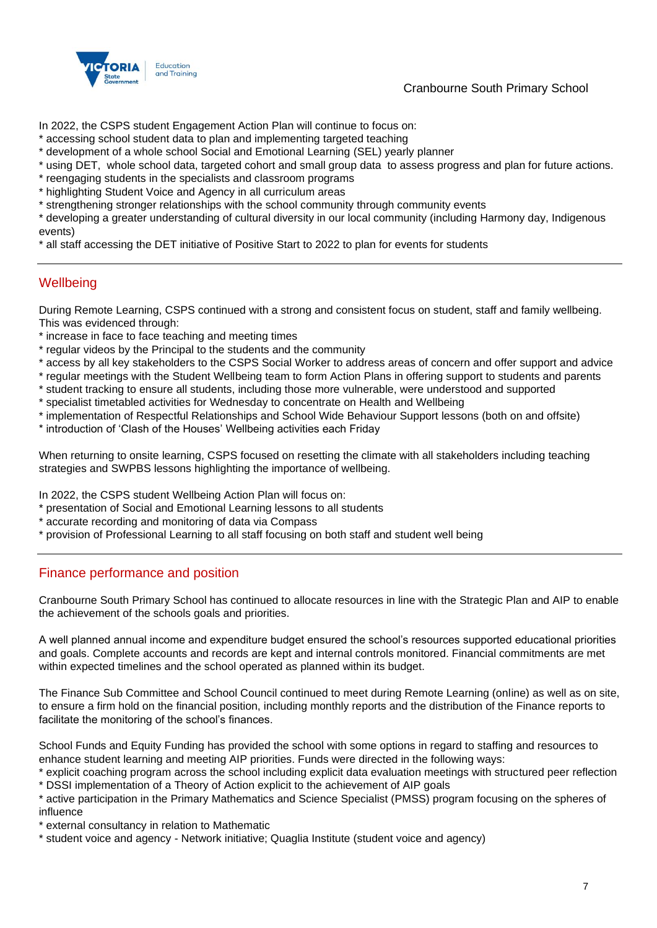

### Cranbourne South Primary School

In 2022, the CSPS student Engagement Action Plan will continue to focus on:

- \* accessing school student data to plan and implementing targeted teaching
- \* development of a whole school Social and Emotional Learning (SEL) yearly planner
- \* using DET, whole school data, targeted cohort and small group data to assess progress and plan for future actions.
- \* reengaging students in the specialists and classroom programs
- \* highlighting Student Voice and Agency in all curriculum areas
- \* strengthening stronger relationships with the school community through community events

\* developing a greater understanding of cultural diversity in our local community (including Harmony day, Indigenous events)

\* all staff accessing the DET initiative of Positive Start to 2022 to plan for events for students

## **Wellbeing**

During Remote Learning, CSPS continued with a strong and consistent focus on student, staff and family wellbeing. This was evidenced through:

- \* increase in face to face teaching and meeting times
- \* regular videos by the Principal to the students and the community
- \* access by all key stakeholders to the CSPS Social Worker to address areas of concern and offer support and advice
- \* regular meetings with the Student Wellbeing team to form Action Plans in offering support to students and parents
- \* student tracking to ensure all students, including those more vulnerable, were understood and supported
- \* specialist timetabled activities for Wednesday to concentrate on Health and Wellbeing
- \* implementation of Respectful Relationships and School Wide Behaviour Support lessons (both on and offsite)
- \* introduction of 'Clash of the Houses' Wellbeing activities each Friday

When returning to onsite learning, CSPS focused on resetting the climate with all stakeholders including teaching strategies and SWPBS lessons highlighting the importance of wellbeing.

In 2022, the CSPS student Wellbeing Action Plan will focus on:

- \* presentation of Social and Emotional Learning lessons to all students
- \* accurate recording and monitoring of data via Compass
- \* provision of Professional Learning to all staff focusing on both staff and student well being

### Finance performance and position

Cranbourne South Primary School has continued to allocate resources in line with the Strategic Plan and AIP to enable the achievement of the schools goals and priorities.

A well planned annual income and expenditure budget ensured the school's resources supported educational priorities and goals. Complete accounts and records are kept and internal controls monitored. Financial commitments are met within expected timelines and the school operated as planned within its budget.

The Finance Sub Committee and School Council continued to meet during Remote Learning (online) as well as on site, to ensure a firm hold on the financial position, including monthly reports and the distribution of the Finance reports to facilitate the monitoring of the school's finances.

School Funds and Equity Funding has provided the school with some options in regard to staffing and resources to enhance student learning and meeting AIP priorities. Funds were directed in the following ways:

\* explicit coaching program across the school including explicit data evaluation meetings with structured peer reflection \* DSSI implementation of a Theory of Action explicit to the achievement of AIP goals

\* active participation in the Primary Mathematics and Science Specialist (PMSS) program focusing on the spheres of influence

\* external consultancy in relation to Mathematic

\* student voice and agency - Network initiative; Quaglia Institute (student voice and agency)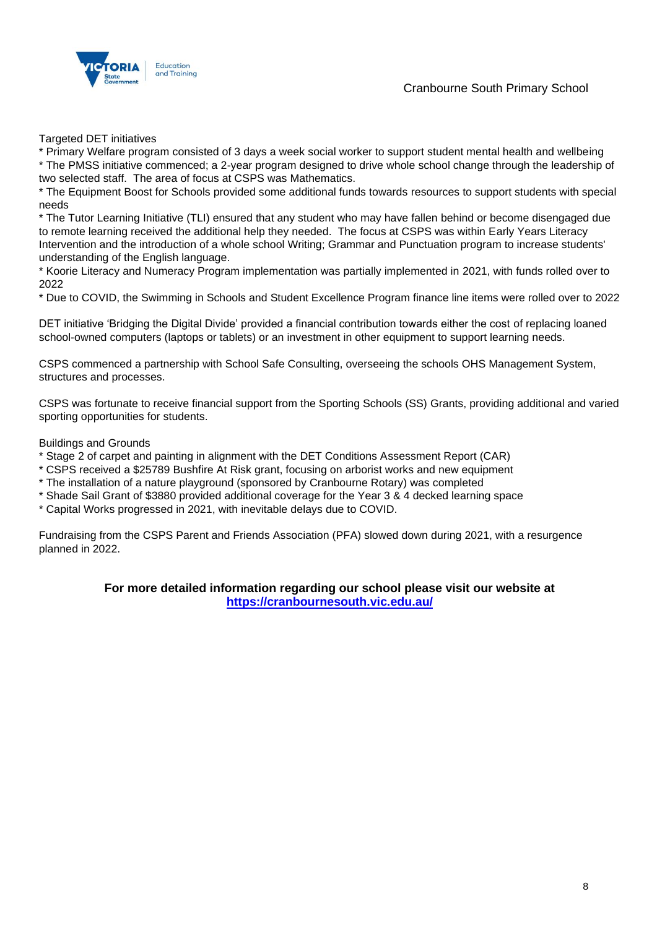



Targeted DET initiatives

\* Primary Welfare program consisted of 3 days a week social worker to support student mental health and wellbeing \* The PMSS initiative commenced; a 2-year program designed to drive whole school change through the leadership of two selected staff. The area of focus at CSPS was Mathematics.

\* The Equipment Boost for Schools provided some additional funds towards resources to support students with special needs

\* The Tutor Learning Initiative (TLI) ensured that any student who may have fallen behind or become disengaged due to remote learning received the additional help they needed. The focus at CSPS was within Early Years Literacy Intervention and the introduction of a whole school Writing; Grammar and Punctuation program to increase students' understanding of the English language.

\* Koorie Literacy and Numeracy Program implementation was partially implemented in 2021, with funds rolled over to 2022

\* Due to COVID, the Swimming in Schools and Student Excellence Program finance line items were rolled over to 2022

DET initiative 'Bridging the Digital Divide' provided a financial contribution towards either the cost of replacing loaned school-owned computers (laptops or tablets) or an investment in other equipment to support learning needs.

CSPS commenced a partnership with School Safe Consulting, overseeing the schools OHS Management System, structures and processes.

CSPS was fortunate to receive financial support from the Sporting Schools (SS) Grants, providing additional and varied sporting opportunities for students.

Buildings and Grounds

\* Stage 2 of carpet and painting in alignment with the DET Conditions Assessment Report (CAR)

\* CSPS received a \$25789 Bushfire At Risk grant, focusing on arborist works and new equipment

\* The installation of a nature playground (sponsored by Cranbourne Rotary) was completed

\* Shade Sail Grant of \$3880 provided additional coverage for the Year 3 & 4 decked learning space

\* Capital Works progressed in 2021, with inevitable delays due to COVID.

Fundraising from the CSPS Parent and Friends Association (PFA) slowed down during 2021, with a resurgence planned in 2022.

### **For more detailed information regarding our school please visit our website at <https://cranbournesouth.vic.edu.au/>**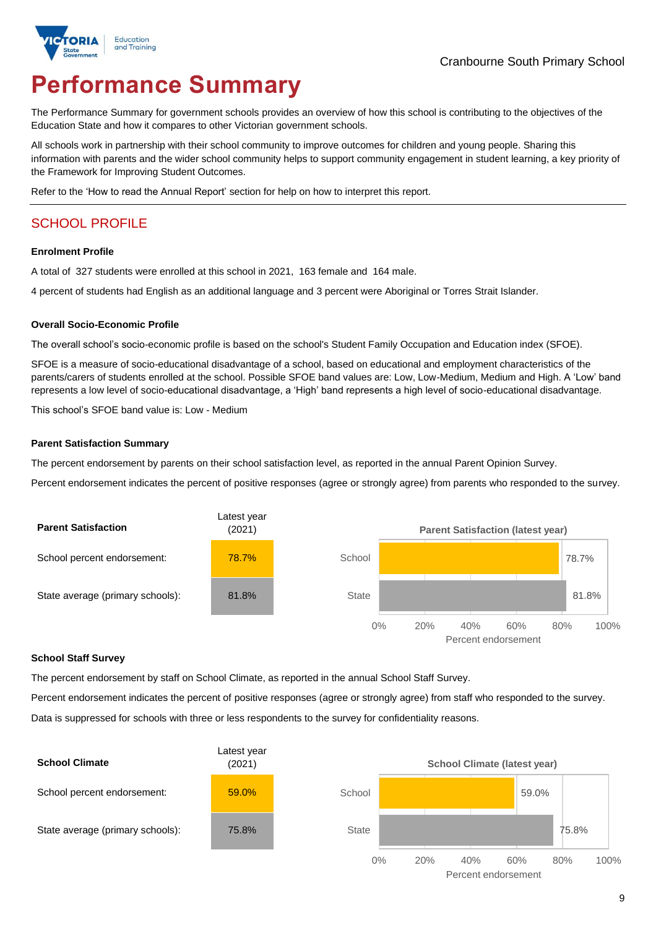

# **Performance Summary**

The Performance Summary for government schools provides an overview of how this school is contributing to the objectives of the Education State and how it compares to other Victorian government schools.

All schools work in partnership with their school community to improve outcomes for children and young people. Sharing this information with parents and the wider school community helps to support community engagement in student learning, a key priority of the Framework for Improving Student Outcomes.

Refer to the 'How to read the Annual Report' section for help on how to interpret this report.

# SCHOOL PROFILE

#### **Enrolment Profile**

A total of 327 students were enrolled at this school in 2021, 163 female and 164 male.

4 percent of students had English as an additional language and 3 percent were Aboriginal or Torres Strait Islander.

#### **Overall Socio-Economic Profile**

The overall school's socio-economic profile is based on the school's Student Family Occupation and Education index (SFOE).

SFOE is a measure of socio-educational disadvantage of a school, based on educational and employment characteristics of the parents/carers of students enrolled at the school. Possible SFOE band values are: Low, Low-Medium, Medium and High. A 'Low' band represents a low level of socio-educational disadvantage, a 'High' band represents a high level of socio-educational disadvantage.

This school's SFOE band value is: Low - Medium

#### **Parent Satisfaction Summary**

The percent endorsement by parents on their school satisfaction level, as reported in the annual Parent Opinion Survey.

Percent endorsement indicates the percent of positive responses (agree or strongly agree) from parents who responded to the survey.



### **School Staff Survey**

The percent endorsement by staff on School Climate, as reported in the annual School Staff Survey.

Percent endorsement indicates the percent of positive responses (agree or strongly agree) from staff who responded to the survey. Data is suppressed for schools with three or less respondents to the survey for confidentiality reasons.

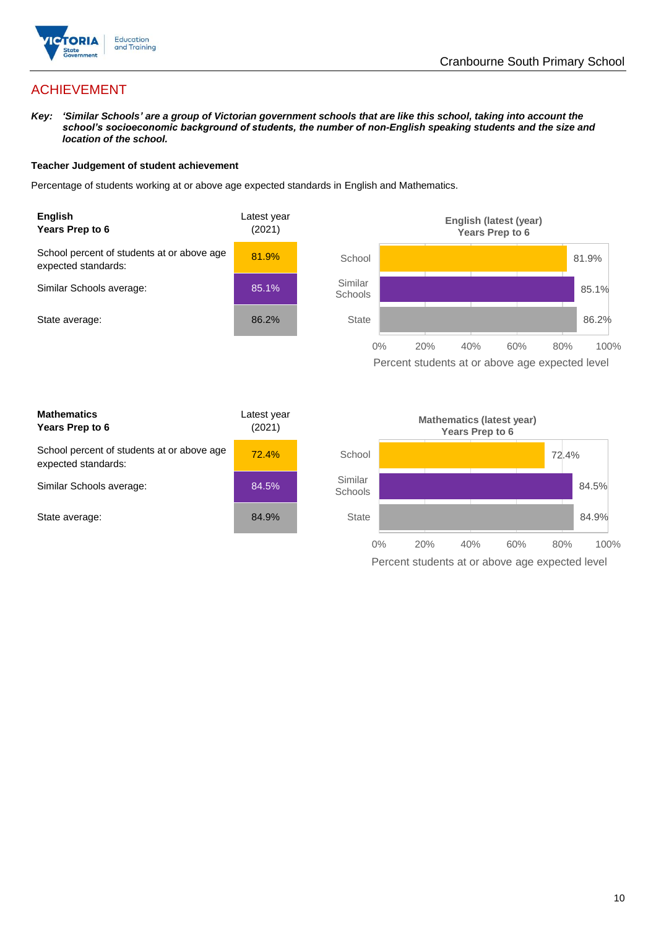

# ACHIEVEMENT

*Key: 'Similar Schools' are a group of Victorian government schools that are like this school, taking into account the school's socioeconomic background of students, the number of non-English speaking students and the size and location of the school.*

### **Teacher Judgement of student achievement**

Percentage of students working at or above age expected standards in English and Mathematics.



Percent students at or above age expected level

| <b>Mathematics</b><br>Years Prep to 6                             | Latest year<br>(2021) |
|-------------------------------------------------------------------|-----------------------|
| School percent of students at or above age<br>expected standards: | 72.4%                 |
| Similar Schools average:                                          | 84.5%                 |
| State average:                                                    | 84.9%                 |

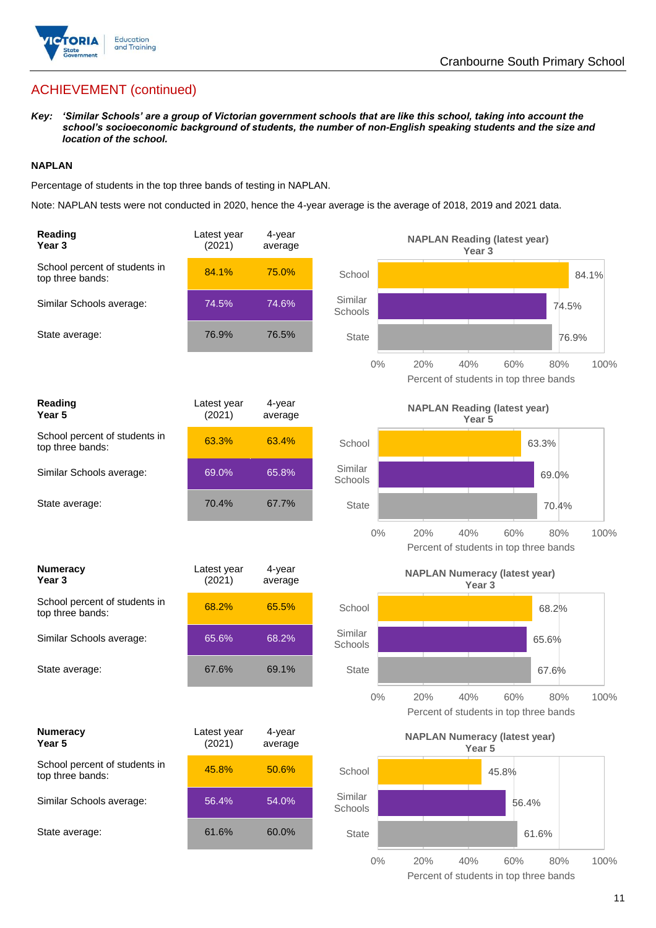

# ACHIEVEMENT (continued)

*Key: 'Similar Schools' are a group of Victorian government schools that are like this school, taking into account the school's socioeconomic background of students, the number of non-English speaking students and the size and location of the school.*

### **NAPLAN**

Percentage of students in the top three bands of testing in NAPLAN.

Note: NAPLAN tests were not conducted in 2020, hence the 4-year average is the average of 2018, 2019 and 2021 data.

| Reading<br>Year 3                                 | Latest year<br>(2021) | 4-year<br>average |                    | <b>NAPLAN Reading (latest year)</b><br>Year 3             |                                                      |       |
|---------------------------------------------------|-----------------------|-------------------|--------------------|-----------------------------------------------------------|------------------------------------------------------|-------|
| School percent of students in<br>top three bands: | 84.1%                 | 75.0%             | School             |                                                           |                                                      | 84.1% |
| Similar Schools average:                          | 74.5%                 | 74.6%             | Similar<br>Schools |                                                           | 74.5%                                                |       |
| State average:                                    | 76.9%                 | 76.5%             | State              |                                                           | 76.9%                                                |       |
|                                                   |                       |                   | $0\%$              | 20%<br>40%                                                | 60%<br>80%<br>Percent of students in top three bands | 100%  |
| Reading<br>Year <sub>5</sub>                      | Latest year<br>(2021) | 4-year<br>average |                    | <b>NAPLAN Reading (latest year)</b><br>Year 5             |                                                      |       |
| School percent of students in<br>top three bands: | 63.3%                 | 63.4%             | School             |                                                           | 63.3%                                                |       |
| Similar Schools average:                          | 69.0%                 | 65.8%             | Similar<br>Schools |                                                           | 69.0%                                                |       |
| State average:                                    | 70.4%                 | 67.7%             | <b>State</b>       |                                                           | 70.4%                                                |       |
|                                                   |                       |                   | $0\%$              | 20%<br>40%                                                | 60%<br>80%<br>Percent of students in top three bands | 100%  |
| <b>Numeracy</b><br>Year <sub>3</sub>              | Latest year<br>(2021) | 4-year<br>average |                    | <b>NAPLAN Numeracy (latest year)</b><br>Year <sub>3</sub> |                                                      |       |
| School percent of students in<br>top three bands: | 68.2%                 | 65.5%             | School             |                                                           | 68.2%                                                |       |
| Similar Schools average:                          | 65.6%                 | 68.2%             | Similar<br>Schools |                                                           | 65.6%                                                |       |
| State average:                                    | 67.6%                 | 69.1%             | <b>State</b>       |                                                           | 67.6%                                                |       |
|                                                   |                       |                   | $0\%$              | 20%<br>40%                                                | 60%<br>80%<br>Percent of students in top three bands | 100%  |
| <b>Numeracy</b><br>Year 5                         | Latest year<br>(2021) | 4-year<br>average |                    | <b>NAPLAN Numeracy (latest year)</b><br>Year 5            |                                                      |       |
| School percent of students in                     |                       | 50.6%             | School             |                                                           | 45.8%                                                |       |
| top three bands:                                  | 45.8%                 |                   |                    |                                                           |                                                      |       |
| Similar Schools average:                          | 56.4%                 | 54.0%             | Similar<br>Schools |                                                           | 56.4%                                                |       |
| State average:                                    | 61.6%                 | 60.0%             | <b>State</b>       |                                                           | 61.6%                                                |       |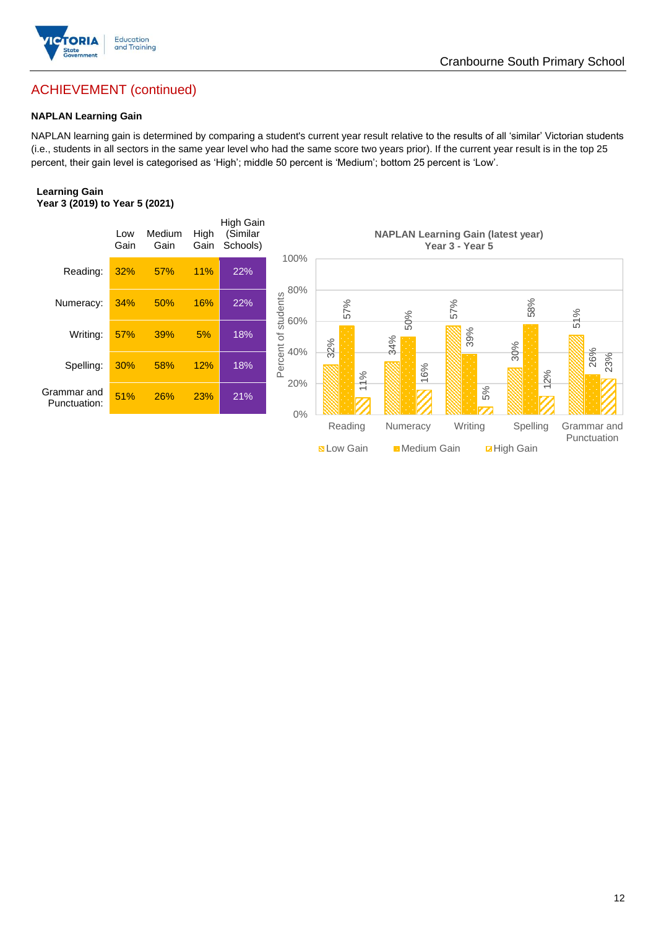

# Cranbourne South Primary School

# ACHIEVEMENT (continued)

### **NAPLAN Learning Gain**

NAPLAN learning gain is determined by comparing a student's current year result relative to the results of all 'similar' Victorian students (i.e., students in all sectors in the same year level who had the same score two years prior). If the current year result is in the top 25 percent, their gain level is categorised as 'High'; middle 50 percent is 'Medium'; bottom 25 percent is 'Low'.

#### **Learning Gain Year 3 (2019) to Year 5 (2021)**

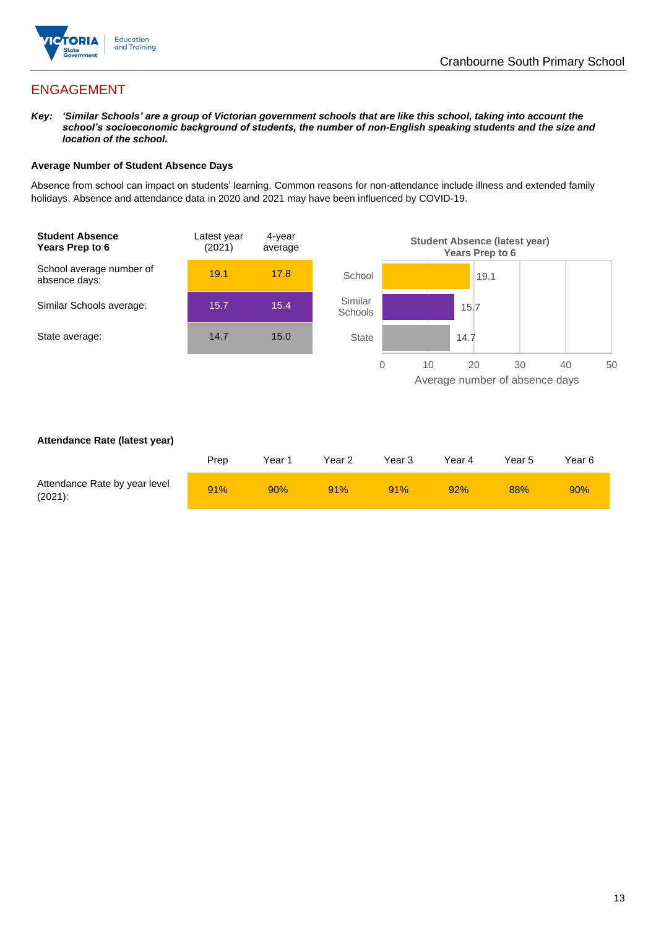

# ENGAGEMENT

*Key: 'Similar Schools' are a group of Victorian government schools that are like this school, taking into account the school's socioeconomic background of students, the number of non-English speaking students and the size and location of the school.*

### **Average Number of Student Absence Days**

Absence from school can impact on students' learning. Common reasons for non-attendance include illness and extended family holidays. Absence and attendance data in 2020 and 2021 may have been influenced by COVID-19.



### **Attendance Rate (latest year)**

|                                             | Prep | Year 1 | Year 2 | Year 3 | Year 4 | Year 5 | Year 6 |
|---------------------------------------------|------|--------|--------|--------|--------|--------|--------|
| Attendance Rate by year level<br>$(2021)$ : | 91%  | 90%    | 91%    | 91%    | 92%    | 88%    | 90%    |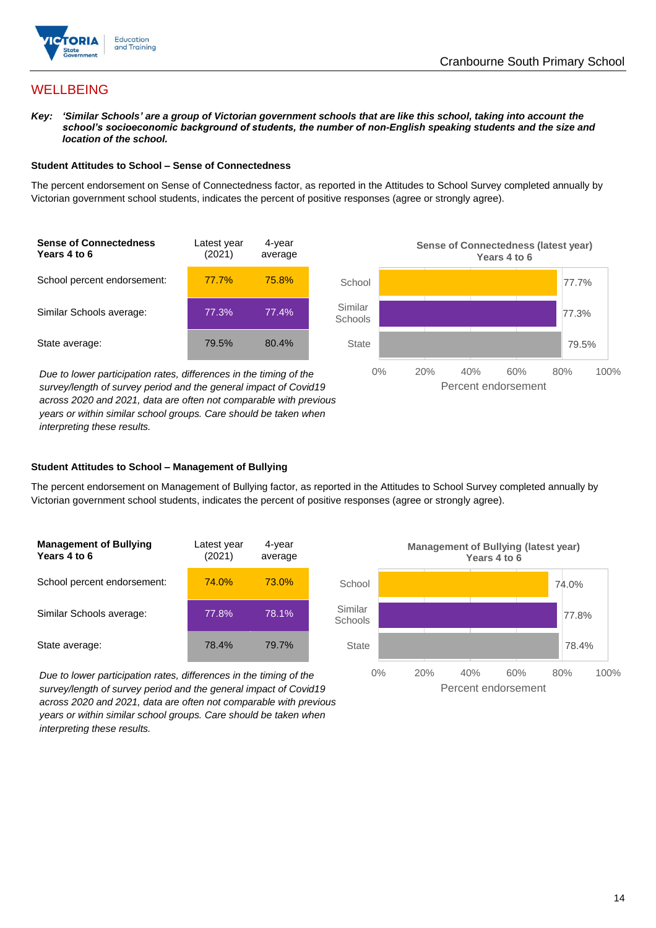

# **WELLBEING**

*Key: 'Similar Schools' are a group of Victorian government schools that are like this school, taking into account the school's socioeconomic background of students, the number of non-English speaking students and the size and location of the school.*

### **Student Attitudes to School – Sense of Connectedness**

The percent endorsement on Sense of Connectedness factor, as reported in the Attitudes to School Survey completed annually by Victorian government school students, indicates the percent of positive responses (agree or strongly agree).



*Due to lower participation rates, differences in the timing of the survey/length of survey period and the general impact of Covid19 across 2020 and 2021, data are often not comparable with previous years or within similar school groups. Care should be taken when interpreting these results.*



### **Student Attitudes to School – Management of Bullying**

The percent endorsement on Management of Bullying factor, as reported in the Attitudes to School Survey completed annually by Victorian government school students, indicates the percent of positive responses (agree or strongly agree).

| <b>Management of Bullying</b><br>Years 4 to 6 | Latest year<br>(2021) | 4-year<br>average |  |
|-----------------------------------------------|-----------------------|-------------------|--|
| School percent endorsement:                   | 74.0%                 | 73.0%             |  |
| Similar Schools average:                      | 77.8%                 | 78.1%             |  |
| State average:                                | 78.4%                 | 79.7%             |  |

*Due to lower participation rates, differences in the timing of the survey/length of survey period and the general impact of Covid19 across 2020 and 2021, data are often not comparable with previous years or within similar school groups. Care should be taken when interpreting these results.*

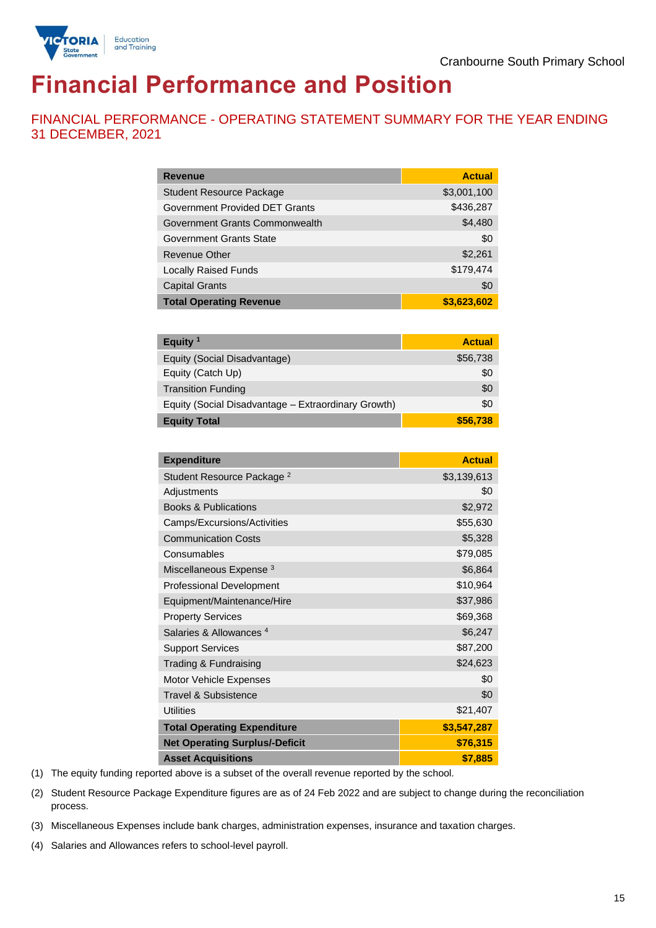

# **Financial Performance and Position**

FINANCIAL PERFORMANCE - OPERATING STATEMENT SUMMARY FOR THE YEAR ENDING 31 DECEMBER, 2021

| <b>Revenue</b>                  | <b>Actual</b> |
|---------------------------------|---------------|
| <b>Student Resource Package</b> | \$3,001,100   |
| Government Provided DET Grants  | \$436,287     |
| Government Grants Commonwealth  | \$4,480       |
| Government Grants State         | \$0           |
| <b>Revenue Other</b>            | \$2,261       |
| <b>Locally Raised Funds</b>     | \$179,474     |
| <b>Capital Grants</b>           | \$0           |
| <b>Total Operating Revenue</b>  | \$3,623,602   |

| Equity $1$                                          | <b>Actual</b> |
|-----------------------------------------------------|---------------|
| Equity (Social Disadvantage)                        | \$56,738      |
| Equity (Catch Up)                                   | \$0           |
| <b>Transition Funding</b>                           | \$0           |
| Equity (Social Disadvantage - Extraordinary Growth) | \$0           |
| <b>Equity Total</b>                                 | \$56,738      |

| <b>Expenditure</b>                    | <b>Actual</b> |
|---------------------------------------|---------------|
| Student Resource Package <sup>2</sup> | \$3,139,613   |
| Adjustments                           | \$0           |
| <b>Books &amp; Publications</b>       | \$2,972       |
| Camps/Excursions/Activities           | \$55,630      |
| <b>Communication Costs</b>            | \$5,328       |
| Consumables                           | \$79,085      |
| Miscellaneous Expense <sup>3</sup>    | \$6,864       |
| <b>Professional Development</b>       | \$10,964      |
| Equipment/Maintenance/Hire            | \$37,986      |
| <b>Property Services</b>              | \$69,368      |
| Salaries & Allowances <sup>4</sup>    | \$6,247       |
| <b>Support Services</b>               | \$87,200      |
| Trading & Fundraising                 | \$24,623      |
| Motor Vehicle Expenses                | \$0           |
| Travel & Subsistence                  | \$0           |
| <b>Utilities</b>                      | \$21,407      |
| <b>Total Operating Expenditure</b>    | \$3,547,287   |
| <b>Net Operating Surplus/-Deficit</b> | \$76,315      |
| <b>Asset Acquisitions</b>             | \$7,885       |

(1) The equity funding reported above is a subset of the overall revenue reported by the school.

(2) Student Resource Package Expenditure figures are as of 24 Feb 2022 and are subject to change during the reconciliation process.

(3) Miscellaneous Expenses include bank charges, administration expenses, insurance and taxation charges.

(4) Salaries and Allowances refers to school-level payroll.